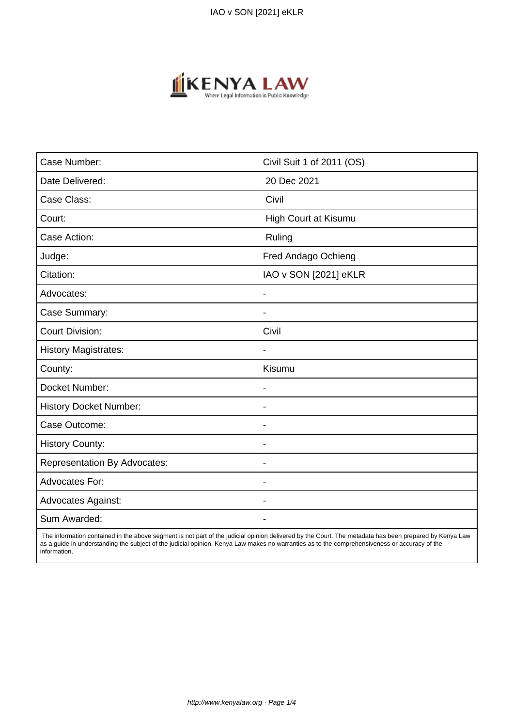

| Case Number:                        | Civil Suit 1 of 2011 (OS) |
|-------------------------------------|---------------------------|
| Date Delivered:                     | 20 Dec 2021               |
| Case Class:                         | Civil                     |
| Court:                              | High Court at Kisumu      |
| Case Action:                        | Ruling                    |
| Judge:                              | Fred Andago Ochieng       |
| Citation:                           | IAO v SON [2021] eKLR     |
| Advocates:                          | $\overline{\phantom{a}}$  |
| Case Summary:                       | $\blacksquare$            |
| <b>Court Division:</b>              | Civil                     |
| <b>History Magistrates:</b>         | $\overline{\phantom{a}}$  |
| County:                             | Kisumu                    |
| Docket Number:                      |                           |
| <b>History Docket Number:</b>       | $\overline{\phantom{0}}$  |
| Case Outcome:                       | $\blacksquare$            |
| <b>History County:</b>              | $\overline{\phantom{a}}$  |
| <b>Representation By Advocates:</b> | $\blacksquare$            |
| Advocates For:                      | $\overline{\phantom{a}}$  |
| Advocates Against:                  |                           |
| Sum Awarded:                        |                           |

 The information contained in the above segment is not part of the judicial opinion delivered by the Court. The metadata has been prepared by Kenya Law as a guide in understanding the subject of the judicial opinion. Kenya Law makes no warranties as to the comprehensiveness or accuracy of the information.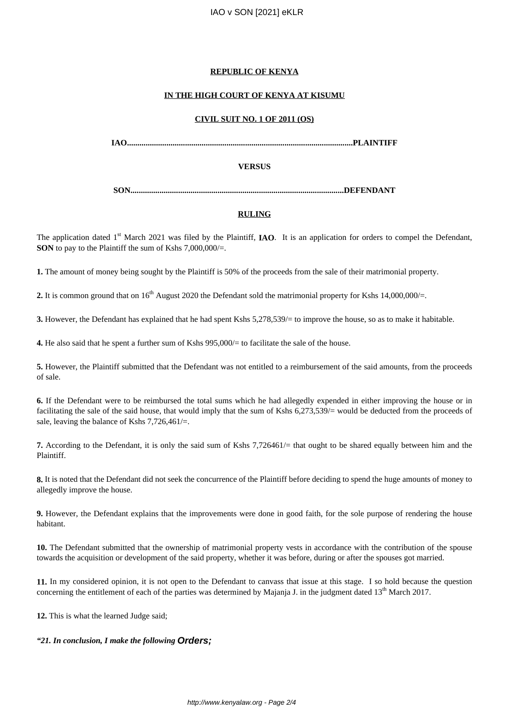# IAO v SON [2021] eKLR

## **REPUBLIC OF KENYA**

# **IN THE HIGH COURT OF KENYA AT KISUMU**

# **CIVIL SUIT NO. 1 OF 2011 (OS)**

**IAO.............................................................................................................PLAINTIFF**

# **VERSUS**

**SON.......................................................................................................DEFENDANT**

# **RULING**

The application dated 1<sup>st</sup> March 2021 was filed by the Plaintiff, **IAO**. It is an application for orders to compel the Defendant, **SON** to pay to the Plaintiff the sum of Kshs 7,000,000/=.

**1.** The amount of money being sought by the Plaintiff is 50% of the proceeds from the sale of their matrimonial property.

**2.** It is common ground that on  $16<sup>th</sup>$  August 2020 the Defendant sold the matrimonial property for Kshs  $14,000,000/=$ .

**3.** However, the Defendant has explained that he had spent Kshs 5,278,539/= to improve the house, so as to make it habitable.

**4.** He also said that he spent a further sum of Kshs 995,000/= to facilitate the sale of the house.

**5.** However, the Plaintiff submitted that the Defendant was not entitled to a reimbursement of the said amounts, from the proceeds of sale.

**6.** If the Defendant were to be reimbursed the total sums which he had allegedly expended in either improving the house or in facilitating the sale of the said house, that would imply that the sum of Kshs 6,273,539/= would be deducted from the proceeds of sale, leaving the balance of Kshs 7,726,461/=.

**7.** According to the Defendant, it is only the said sum of Kshs 7,726461/= that ought to be shared equally between him and the Plaintiff.

**8.** It is noted that the Defendant did not seek the concurrence of the Plaintiff before deciding to spend the huge amounts of money to allegedly improve the house.

**9.** However, the Defendant explains that the improvements were done in good faith, for the sole purpose of rendering the house habitant.

**10.** The Defendant submitted that the ownership of matrimonial property vests in accordance with the contribution of the spouse towards the acquisition or development of the said property, whether it was before, during or after the spouses got married.

**11.** In my considered opinion, it is not open to the Defendant to canvass that issue at this stage. I so hold because the question concerning the entitlement of each of the parties was determined by Majanja J. in the judgment dated  $13<sup>th</sup>$  March 2017.

**12.** This is what the learned Judge said;

*"21. In conclusion, I make the following* **Orders;**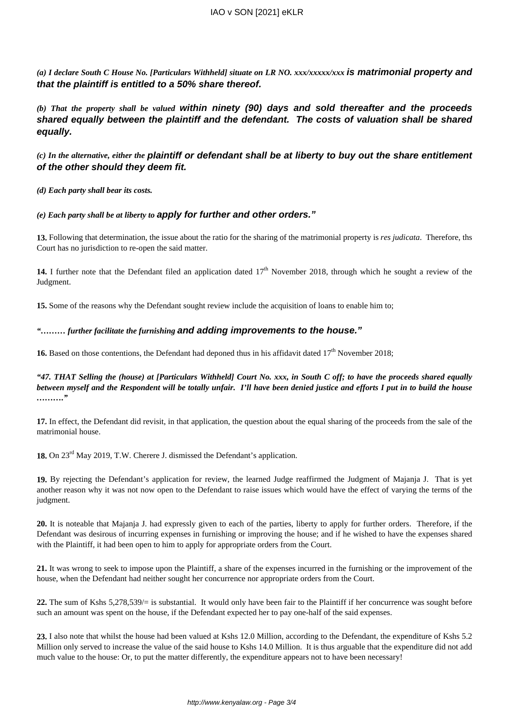*(a) I declare South C House No. [Particulars Withheld] situate on LR NO. xxx/xxxxx/xxx* **is matrimonial property and that the plaintiff is entitled to a 50% share thereof.**

*(b) That the property shall be valued* **within ninety (90) days and sold thereafter and the proceeds shared equally between the plaintiff and the defendant. The costs of valuation shall be shared equally.**

*(c) In the alternative, either the* **plaintiff or defendant shall be at liberty to buy out the share entitlement of the other should they deem fit.**

*(d) Each party shall bear its costs.*

*(e) Each party shall be at liberty to* **apply for further and other orders."**

**13.** Following that determination, the issue about the ratio for the sharing of the matrimonial property is *res judicata*. Therefore, ths Court has no jurisdiction to re-open the said matter.

14. I further note that the Defendant filed an application dated 17<sup>th</sup> November 2018, through which he sought a review of the Judgment.

**15.** Some of the reasons why the Defendant sought review include the acquisition of loans to enable him to;

# *"……… further facilitate the furnishing* **and adding improvements to the house."**

**16.** Based on those contentions, the Defendant had deponed thus in his affidavit dated 17<sup>th</sup> November 2018;

*"47. THAT Selling the (house) at [Particulars Withheld] Court No. xxx, in South C off; to have the proceeds shared equally between myself and the Respondent will be totally unfair. I'll have been denied justice and efforts I put in to build the house ………."*

**17.** In effect, the Defendant did revisit, in that application, the question about the equal sharing of the proceeds from the sale of the matrimonial house.

18. On 23<sup>rd</sup> May 2019, T.W. Cherere J. dismissed the Defendant's application.

**19.** By rejecting the Defendant's application for review, the learned Judge reaffirmed the Judgment of Majanja J. That is yet another reason why it was not now open to the Defendant to raise issues which would have the effect of varying the terms of the judgment.

**20.** It is noteable that Majanja J. had expressly given to each of the parties, liberty to apply for further orders. Therefore, if the Defendant was desirous of incurring expenses in furnishing or improving the house; and if he wished to have the expenses shared with the Plaintiff, it had been open to him to apply for appropriate orders from the Court.

**21.** It was wrong to seek to impose upon the Plaintiff, a share of the expenses incurred in the furnishing or the improvement of the house, when the Defendant had neither sought her concurrence nor appropriate orders from the Court.

**22.** The sum of Kshs 5,278,539/= is substantial. It would only have been fair to the Plaintiff if her concurrence was sought before such an amount was spent on the house, if the Defendant expected her to pay one-half of the said expenses.

**23.** I also note that whilst the house had been valued at Kshs 12.0 Million, according to the Defendant, the expenditure of Kshs 5.2 Million only served to increase the value of the said house to Kshs 14.0 Million. It is thus arguable that the expenditure did not add much value to the house: Or, to put the matter differently, the expenditure appears not to have been necessary!